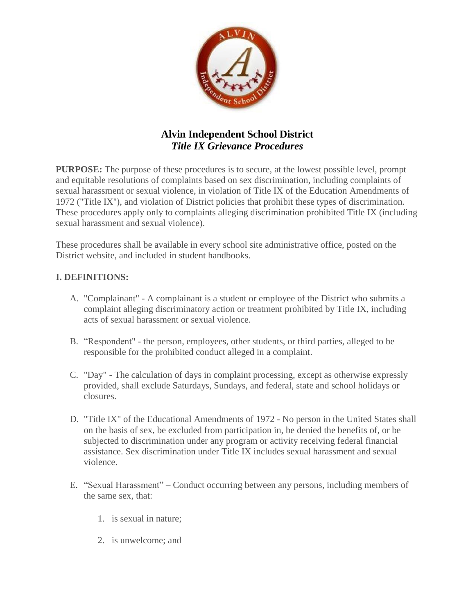

# **Alvin Independent School District** *Title IX Grievance Procedures*

**PURPOSE:** The purpose of these procedures is to secure, at the lowest possible level, prompt and equitable resolutions of complaints based on sex discrimination, including complaints of sexual harassment or sexual violence, in violation of Title IX of the Education Amendments of 1972 ("Title IX''), and violation of District policies that prohibit these types of discrimination. These procedures apply only to complaints alleging discrimination prohibited Title IX (including sexual harassment and sexual violence).

These procedures shall be available in every school site administrative office, posted on the District website, and included in student handbooks.

### **I. DEFINITIONS:**

- A. "Complainant" A complainant is a student or employee of the District who submits a complaint alleging discriminatory action or treatment prohibited by Title IX, including acts of sexual harassment or sexual violence.
- B. "Respondent" the person, employees, other students, or third parties, alleged to be responsible for the prohibited conduct alleged in a complaint.
- C. "Day" The calculation of days in complaint processing, except as otherwise expressly provided, shall exclude Saturdays, Sundays, and federal, state and school holidays or closures.
- D. "Title IX" of the Educational Amendments of 1972 No person in the United States shall on the basis of sex, be excluded from participation in, be denied the benefits of, or be subjected to discrimination under any program or activity receiving federal financial assistance. Sex discrimination under Title IX includes sexual harassment and sexual violence.
- E. "Sexual Harassment" Conduct occurring between any persons, including members of the same sex, that:
	- 1. is sexual in nature;
	- 2. is unwelcome; and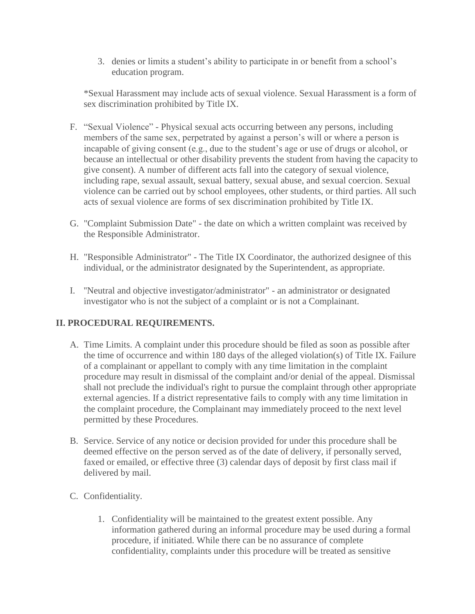3. denies or limits a student's ability to participate in or benefit from a school's education program.

\*Sexual Harassment may include acts of sexual violence. Sexual Harassment is a form of sex discrimination prohibited by Title IX.

- F. "Sexual Violence" Physical sexual acts occurring between any persons, including members of the same sex, perpetrated by against a person's will or where a person is incapable of giving consent (e.g., due to the student's age or use of drugs or alcohol, or because an intellectual or other disability prevents the student from having the capacity to give consent). A number of different acts fall into the category of sexual violence, including rape, sexual assault, sexual battery, sexual abuse, and sexual coercion. Sexual violence can be carried out by school employees, other students, or third parties. All such acts of sexual violence are forms of sex discrimination prohibited by Title IX.
- G. "Complaint Submission Date" the date on which a written complaint was received by the Responsible Administrator.
- H. "Responsible Administrator" The Title IX Coordinator, the authorized designee of this individual, or the administrator designated by the Superintendent, as appropriate.
- I. ''Neutral and objective investigator/administrator" an administrator or designated investigator who is not the subject of a complaint or is not a Complainant.

## **II. PROCEDURAL REQUIREMENTS.**

- A. Time Limits. A complaint under this procedure should be filed as soon as possible after the time of occurrence and within 180 days of the alleged violation(s) of Title IX. Failure of a complainant or appellant to comply with any time limitation in the complaint procedure may result in dismissal of the complaint and/or denial of the appeal. Dismissal shall not preclude the individual's right to pursue the complaint through other appropriate external agencies. If a district representative fails to comply with any time limitation in the complaint procedure, the Complainant may immediately proceed to the next level permitted by these Procedures.
- B. Service. Service of any notice or decision provided for under this procedure shall be deemed effective on the person served as of the date of delivery, if personally served, faxed or emailed, or effective three (3) calendar days of deposit by first class mail if delivered by mail.
- C. Confidentiality.
	- 1. Confidentiality will be maintained to the greatest extent possible. Any information gathered during an informal procedure may be used during a formal procedure, if initiated. While there can be no assurance of complete confidentiality, complaints under this procedure will be treated as sensitive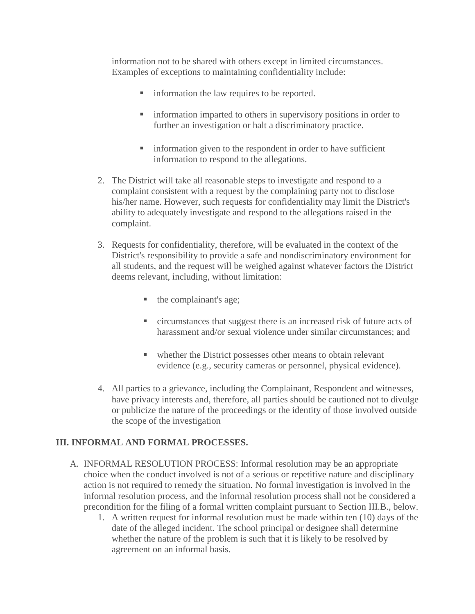information not to be shared with others except in limited circumstances. Examples of exceptions to maintaining confidentiality include:

- **ightharrow** information the law requires to be reported.
- **ightharrow information imparted to others in supervisory positions in order to** further an investigation or halt a discriminatory practice.
- **ightharror** information given to the respondent in order to have sufficient information to respond to the allegations.
- 2. The District will take all reasonable steps to investigate and respond to a complaint consistent with a request by the complaining party not to disclose his/her name. However, such requests for confidentiality may limit the District's ability to adequately investigate and respond to the allegations raised in the complaint.
- 3. Requests for confidentiality, therefore, will be evaluated in the context of the District's responsibility to provide a safe and nondiscriminatory environment for all students, and the request will be weighed against whatever factors the District deems relevant, including, without limitation:
	- $\blacksquare$  the complainant's age;
	- circumstances that suggest there is an increased risk of future acts of harassment and/or sexual violence under similar circumstances; and
	- whether the District possesses other means to obtain relevant evidence (e.g., security cameras or personnel, physical evidence).
- 4. All parties to a grievance, including the Complainant, Respondent and witnesses, have privacy interests and, therefore, all parties should be cautioned not to divulge or publicize the nature of the proceedings or the identity of those involved outside the scope of the investigation

#### **III. INFORMAL AND FORMAL PROCESSES.**

- A. INFORMAL RESOLUTION PROCESS: Informal resolution may be an appropriate choice when the conduct involved is not of a serious or repetitive nature and disciplinary action is not required to remedy the situation. No formal investigation is involved in the informal resolution process, and the informal resolution process shall not be considered a precondition for the filing of a formal written complaint pursuant to Section III.B., below.
	- 1. A written request for informal resolution must be made within ten (10) days of the date of the alleged incident. The school principal or designee shall determine whether the nature of the problem is such that it is likely to be resolved by agreement on an informal basis.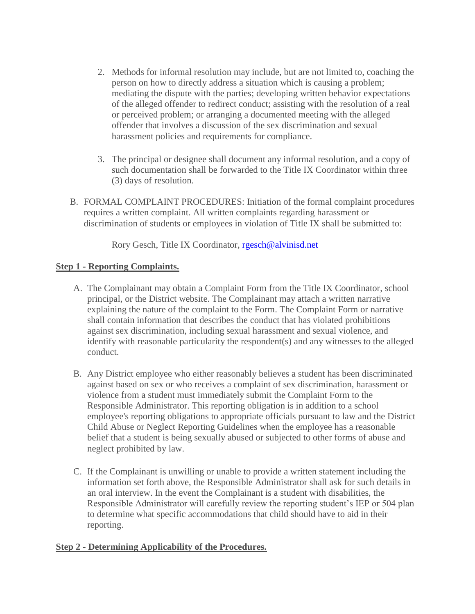- 2. Methods for informal resolution may include, but are not limited to, coaching the person on how to directly address a situation which is causing a problem; mediating the dispute with the parties; developing written behavior expectations of the alleged offender to redirect conduct; assisting with the resolution of a real or perceived problem; or arranging a documented meeting with the alleged offender that involves a discussion of the sex discrimination and sexual harassment policies and requirements for compliance.
- 3. The principal or designee shall document any informal resolution, and a copy of such documentation shall be forwarded to the Title IX Coordinator within three (3) days of resolution.
- B. FORMAL COMPLAINT PROCEDURES: Initiation of the formal complaint procedures requires a written complaint. All written complaints regarding harassment or discrimination of students or employees in violation of Title IX shall be submitted to:

Rory Gesch, Title IX Coordinator, [rgesch@alvinisd.net](mailto:rgesch@alvinisd.net)

#### **Step 1 - Reporting Complaints.**

- A. The Complainant may obtain a Complaint Form from the Title IX Coordinator, school principal, or the District website. The Complainant may attach a written narrative explaining the nature of the complaint to the Form. The Complaint Form or narrative shall contain information that describes the conduct that has violated prohibitions against sex discrimination, including sexual harassment and sexual violence, and identify with reasonable particularity the respondent(s) and any witnesses to the alleged conduct.
- B. Any District employee who either reasonably believes a student has been discriminated against based on sex or who receives a complaint of sex discrimination, harassment or violence from a student must immediately submit the Complaint Form to the Responsible Administrator. This reporting obligation is in addition to a school employee's reporting obligations to appropriate officials pursuant to law and the District Child Abuse or Neglect Reporting Guidelines when the employee has a reasonable belief that a student is being sexually abused or subjected to other forms of abuse and neglect prohibited by law.
- C. If the Complainant is unwilling or unable to provide a written statement including the information set forth above, the Responsible Administrator shall ask for such details in an oral interview. In the event the Complainant is a student with disabilities, the Responsible Administrator will carefully review the reporting student's IEP or 504 plan to determine what specific accommodations that child should have to aid in their reporting.

#### **Step 2 - Determining Applicability of the Procedures.**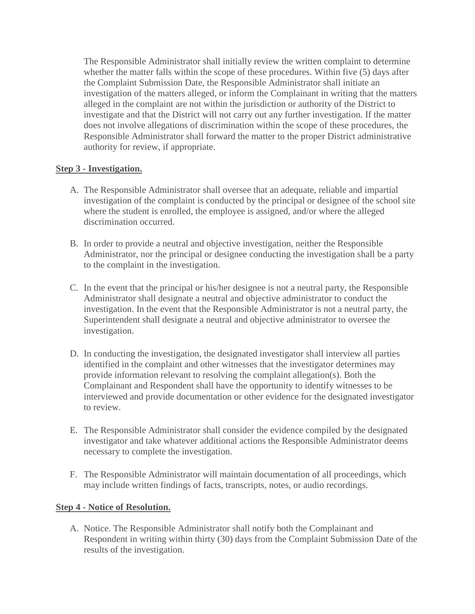The Responsible Administrator shall initially review the written complaint to determine whether the matter falls within the scope of these procedures. Within five (5) days after the Complaint Submission Date, the Responsible Administrator shall initiate an investigation of the matters alleged, or inform the Complainant in writing that the matters alleged in the complaint are not within the jurisdiction or authority of the District to investigate and that the District will not carry out any further investigation. If the matter does not involve allegations of discrimination within the scope of these procedures, the Responsible Administrator shall forward the matter to the proper District administrative authority for review, if appropriate.

### **Step 3 - Investigation.**

- A. The Responsible Administrator shall oversee that an adequate, reliable and impartial investigation of the complaint is conducted by the principal or designee of the school site where the student is enrolled, the employee is assigned, and/or where the alleged discrimination occurred.
- B. In order to provide a neutral and objective investigation, neither the Responsible Administrator, nor the principal or designee conducting the investigation shall be a party to the complaint in the investigation.
- C. In the event that the principal or his/her designee is not a neutral party, the Responsible Administrator shall designate a neutral and objective administrator to conduct the investigation. In the event that the Responsible Administrator is not a neutral party, the Superintendent shall designate a neutral and objective administrator to oversee the investigation.
- D. In conducting the investigation, the designated investigator shall interview all parties identified in the complaint and other witnesses that the investigator determines may provide information relevant to resolving the complaint allegation(s). Both the Complainant and Respondent shall have the opportunity to identify witnesses to be interviewed and provide documentation or other evidence for the designated investigator to review.
- E. The Responsible Administrator shall consider the evidence compiled by the designated investigator and take whatever additional actions the Responsible Administrator deems necessary to complete the investigation.
- F. The Responsible Administrator will maintain documentation of all proceedings, which may include written findings of facts, transcripts, notes, or audio recordings.

#### **Step 4 - Notice of Resolution.**

A. Notice. The Responsible Administrator shall notify both the Complainant and Respondent in writing within thirty (30) days from the Complaint Submission Date of the results of the investigation.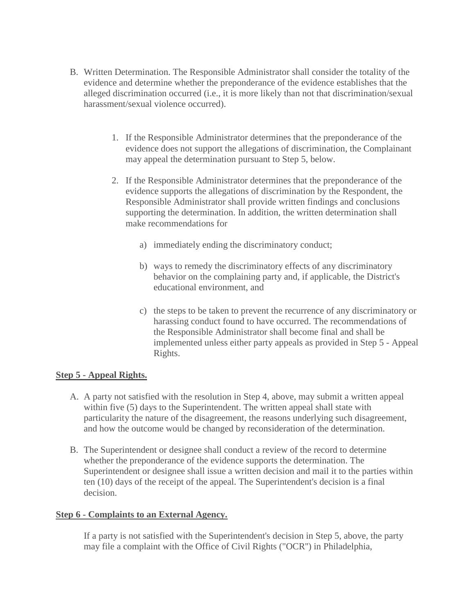- B. Written Determination. The Responsible Administrator shall consider the totality of the evidence and determine whether the preponderance of the evidence establishes that the alleged discrimination occurred (i.e., it is more likely than not that discrimination/sexual harassment/sexual violence occurred).
	- 1. If the Responsible Administrator determines that the preponderance of the evidence does not support the allegations of discrimination, the Complainant may appeal the determination pursuant to Step 5, below.
	- 2. If the Responsible Administrator determines that the preponderance of the evidence supports the allegations of discrimination by the Respondent, the Responsible Administrator shall provide written findings and conclusions supporting the determination. In addition, the written determination shall make recommendations for
		- a) immediately ending the discriminatory conduct;
		- b) ways to remedy the discriminatory effects of any discriminatory behavior on the complaining party and, if applicable, the District's educational environment, and
		- c) the steps to be taken to prevent the recurrence of any discriminatory or harassing conduct found to have occurred. The recommendations of the Responsible Administrator shall become final and shall be implemented unless either party appeals as provided in Step 5 - Appeal Rights.

## **Step 5 - Appeal Rights.**

- A. A party not satisfied with the resolution in Step 4, above, may submit a written appeal within five (5) days to the Superintendent. The written appeal shall state with particularity the nature of the disagreement, the reasons underlying such disagreement, and how the outcome would be changed by reconsideration of the determination.
- B. The Superintendent or designee shall conduct a review of the record to determine whether the preponderance of the evidence supports the determination. The Superintendent or designee shall issue a written decision and mail it to the parties within ten (10) days of the receipt of the appeal. The Superintendent's decision is a final decision.

#### **Step 6 - Complaints to an External Agency.**

If a party is not satisfied with the Superintendent's decision in Step 5, above, the party may file a complaint with the Office of Civil Rights ("OCR'') in Philadelphia,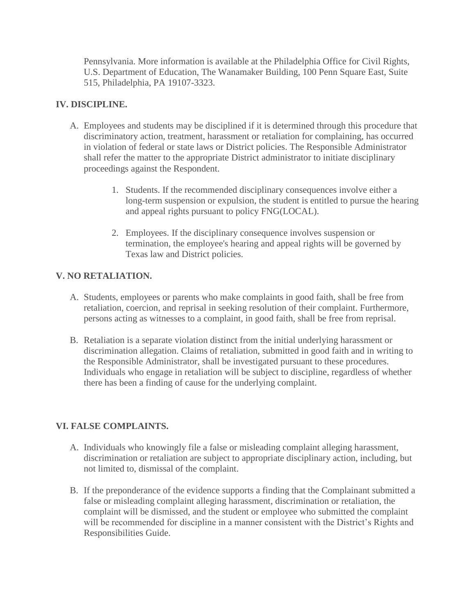Pennsylvania. More information is available at the Philadelphia Office for Civil Rights, U.S. Department of Education, The Wanamaker Building, 100 Penn Square East, Suite 515, Philadelphia, PA 19107-3323.

#### **IV. DISCIPLINE.**

- A. Employees and students may be disciplined if it is determined through this procedure that discriminatory action, treatment, harassment or retaliation for complaining, has occurred in violation of federal or state laws or District policies. The Responsible Administrator shall refer the matter to the appropriate District administrator to initiate disciplinary proceedings against the Respondent.
	- 1. Students. If the recommended disciplinary consequences involve either a long-term suspension or expulsion, the student is entitled to pursue the hearing and appeal rights pursuant to policy FNG(LOCAL).
	- 2. Employees. If the disciplinary consequence involves suspension or termination, the employee's hearing and appeal rights will be governed by Texas law and District policies.

# **V. NO RETALIATION.**

- A. Students, employees or parents who make complaints in good faith, shall be free from retaliation, coercion, and reprisal in seeking resolution of their complaint. Furthermore, persons acting as witnesses to a complaint, in good faith, shall be free from reprisal.
- B. Retaliation is a separate violation distinct from the initial underlying harassment or discrimination allegation. Claims of retaliation, submitted in good faith and in writing to the Responsible Administrator, shall be investigated pursuant to these procedures. Individuals who engage in retaliation will be subject to discipline, regardless of whether there has been a finding of cause for the underlying complaint.

## **VI. FALSE COMPLAINTS.**

- A. Individuals who knowingly file a false or misleading complaint alleging harassment, discrimination or retaliation are subject to appropriate disciplinary action, including, but not limited to, dismissal of the complaint.
- B. If the preponderance of the evidence supports a finding that the Complainant submitted a false or misleading complaint alleging harassment, discrimination or retaliation, the complaint will be dismissed, and the student or employee who submitted the complaint will be recommended for discipline in a manner consistent with the District's Rights and Responsibilities Guide.